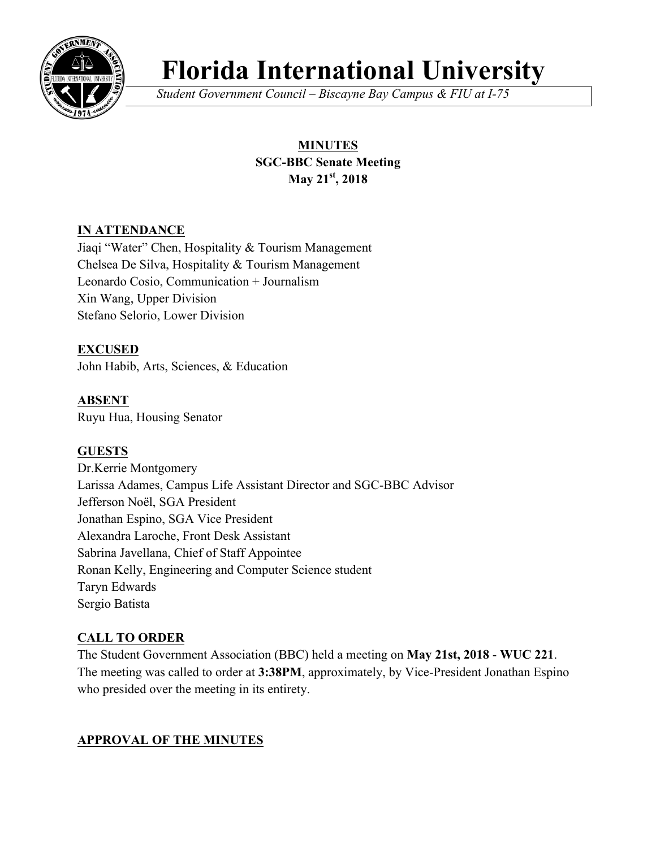

# **Florida International University**

*Student Government Council – Biscayne Bay Campus & FIU at I-75*

# **MINUTES SGC-BBC Senate Meeting May 21st, 2018**

# **IN ATTENDANCE**

Jiaqi "Water" Chen, Hospitality & Tourism Management Chelsea De Silva, Hospitality & Tourism Management Leonardo Cosio, Communication + Journalism Xin Wang, Upper Division Stefano Selorio, Lower Division

**EXCUSED** John Habib, Arts, Sciences, & Education

**ABSENT** Ruyu Hua, Housing Senator

# **GUESTS**

Dr.Kerrie Montgomery Larissa Adames, Campus Life Assistant Director and SGC-BBC Advisor Jefferson Noël, SGA President Jonathan Espino, SGA Vice President Alexandra Laroche, Front Desk Assistant Sabrina Javellana, Chief of Staff Appointee Ronan Kelly, Engineering and Computer Science student Taryn Edwards Sergio Batista

# **CALL TO ORDER**

The Student Government Association (BBC) held a meeting on **May 21st, 2018** - **WUC 221**. The meeting was called to order at **3:38PM**, approximately, by Vice-President Jonathan Espino who presided over the meeting in its entirety.

# **APPROVAL OF THE MINUTES**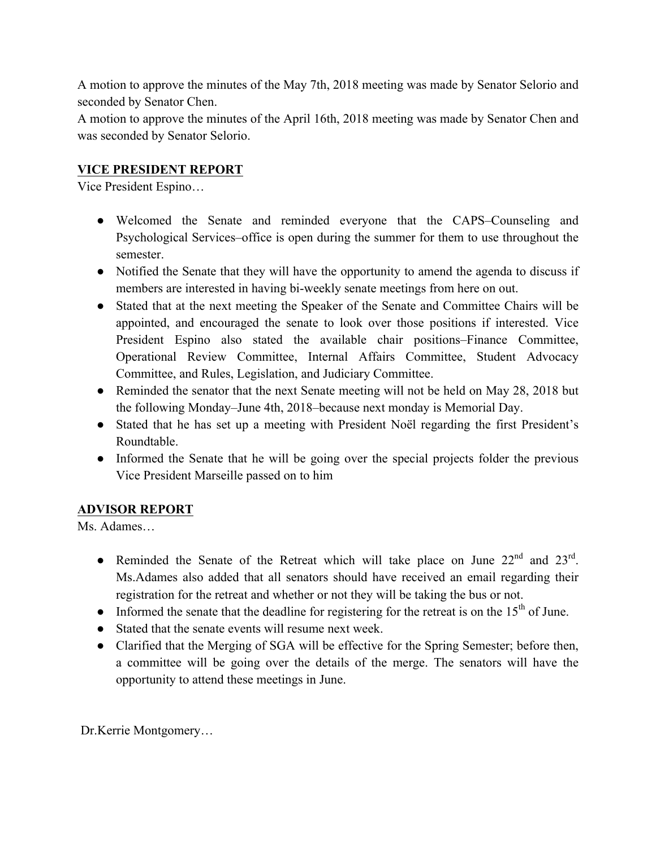A motion to approve the minutes of the May 7th, 2018 meeting was made by Senator Selorio and seconded by Senator Chen.

A motion to approve the minutes of the April 16th, 2018 meeting was made by Senator Chen and was seconded by Senator Selorio.

# **VICE PRESIDENT REPORT**

Vice President Espino…

- Welcomed the Senate and reminded everyone that the CAPS–Counseling and Psychological Services–office is open during the summer for them to use throughout the semester.
- Notified the Senate that they will have the opportunity to amend the agenda to discuss if members are interested in having bi-weekly senate meetings from here on out.
- Stated that at the next meeting the Speaker of the Senate and Committee Chairs will be appointed, and encouraged the senate to look over those positions if interested. Vice President Espino also stated the available chair positions–Finance Committee, Operational Review Committee, Internal Affairs Committee, Student Advocacy Committee, and Rules, Legislation, and Judiciary Committee.
- Reminded the senator that the next Senate meeting will not be held on May 28, 2018 but the following Monday–June 4th, 2018–because next monday is Memorial Day.
- Stated that he has set up a meeting with President Noël regarding the first President's Roundtable.
- Informed the Senate that he will be going over the special projects folder the previous Vice President Marseille passed on to him

#### **ADVISOR REPORT**

Ms. Adames…

- Reminded the Senate of the Retreat which will take place on June  $22<sup>nd</sup>$  and  $23<sup>rd</sup>$ . Ms.Adames also added that all senators should have received an email regarding their registration for the retreat and whether or not they will be taking the bus or not.
- $\bullet$  Informed the senate that the deadline for registering for the retreat is on the 15<sup>th</sup> of June.
- Stated that the senate events will resume next week.
- Clarified that the Merging of SGA will be effective for the Spring Semester; before then, a committee will be going over the details of the merge. The senators will have the opportunity to attend these meetings in June.

Dr.Kerrie Montgomery…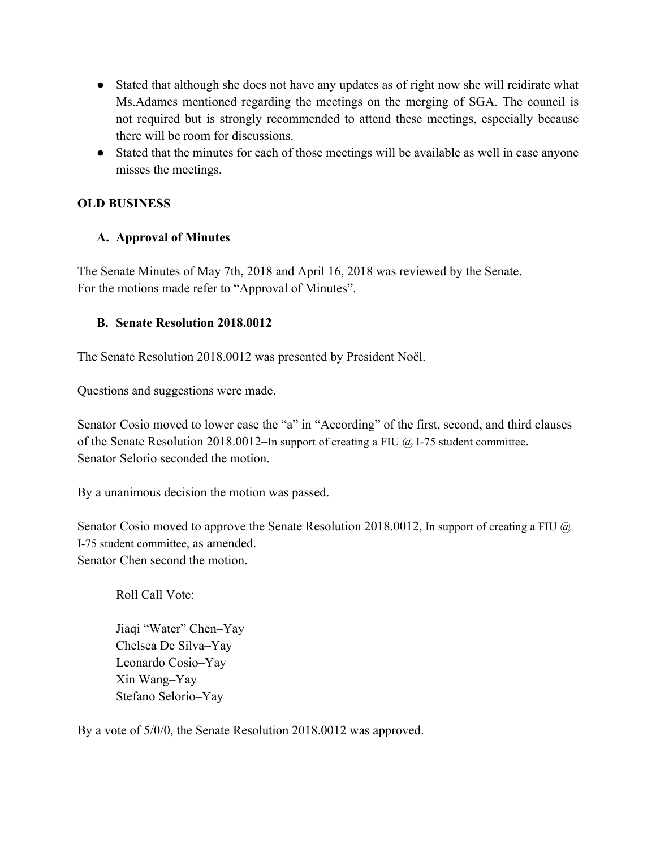- Stated that although she does not have any updates as of right now she will reidirate what Ms.Adames mentioned regarding the meetings on the merging of SGA. The council is not required but is strongly recommended to attend these meetings, especially because there will be room for discussions.
- Stated that the minutes for each of those meetings will be available as well in case anyone misses the meetings.

## **OLD BUSINESS**

## **A. Approval of Minutes**

The Senate Minutes of May 7th, 2018 and April 16, 2018 was reviewed by the Senate. For the motions made refer to "Approval of Minutes".

#### **B. Senate Resolution 2018.0012**

The Senate Resolution 2018.0012 was presented by President Noël.

Questions and suggestions were made.

Senator Cosio moved to lower case the "a" in "According" of the first, second, and third clauses of the Senate Resolution 2018.0012–In support of creating a FIU @ I-75 student committee. Senator Selorio seconded the motion.

By a unanimous decision the motion was passed.

Senator Cosio moved to approve the Senate Resolution 2018.0012, In support of creating a FIU @ I-75 student committee, as amended. Senator Chen second the motion.

Roll Call Vote:

Jiaqi "Water" Chen–Yay Chelsea De Silva–Yay Leonardo Cosio–Yay Xin Wang–Yay Stefano Selorio–Yay

By a vote of 5/0/0, the Senate Resolution 2018.0012 was approved.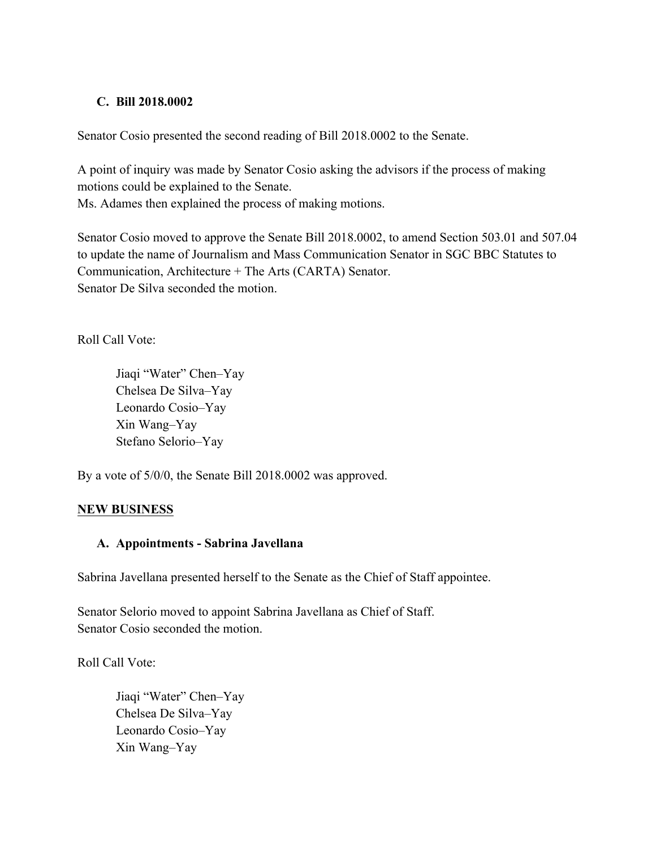#### **C. Bill 2018.0002**

Senator Cosio presented the second reading of Bill 2018.0002 to the Senate.

A point of inquiry was made by Senator Cosio asking the advisors if the process of making motions could be explained to the Senate.

Ms. Adames then explained the process of making motions.

Senator Cosio moved to approve the Senate Bill 2018.0002, to amend Section 503.01 and 507.04 to update the name of Journalism and Mass Communication Senator in SGC BBC Statutes to Communication, Architecture + The Arts (CARTA) Senator. Senator De Silva seconded the motion.

Roll Call Vote:

Jiaqi "Water" Chen–Yay Chelsea De Silva–Yay Leonardo Cosio–Yay Xin Wang–Yay Stefano Selorio–Yay

By a vote of 5/0/0, the Senate Bill 2018.0002 was approved.

#### **NEW BUSINESS**

#### **A. Appointments - Sabrina Javellana**

Sabrina Javellana presented herself to the Senate as the Chief of Staff appointee.

Senator Selorio moved to appoint Sabrina Javellana as Chief of Staff. Senator Cosio seconded the motion.

Roll Call Vote:

Jiaqi "Water" Chen–Yay Chelsea De Silva–Yay Leonardo Cosio–Yay Xin Wang–Yay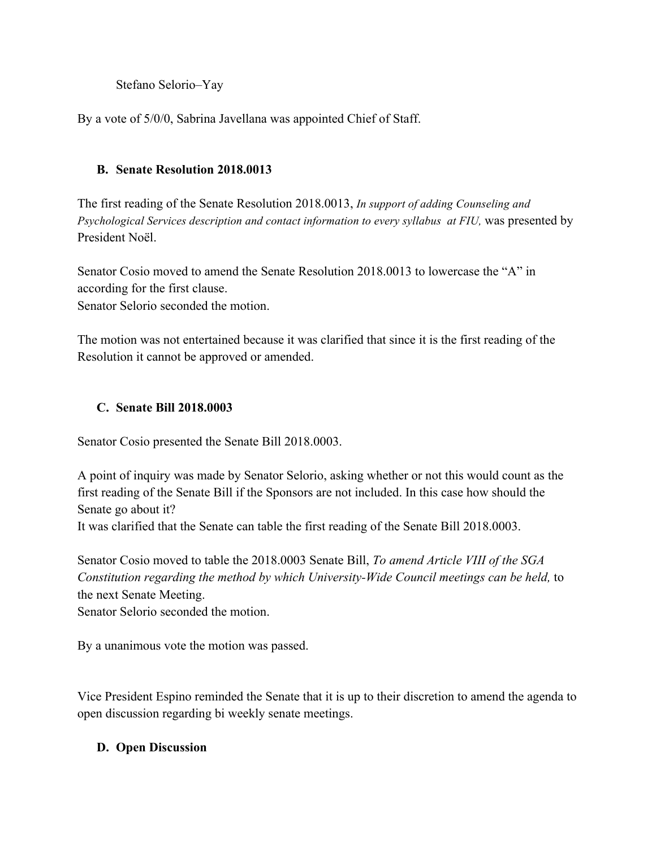Stefano Selorio–Yay

By a vote of 5/0/0, Sabrina Javellana was appointed Chief of Staff.

# **B. Senate Resolution 2018.0013**

The first reading of the Senate Resolution 2018.0013, *In support of adding Counseling and*  Psychological Services description and contact information to every syllabus at FIU, was presented by President Noël.

Senator Cosio moved to amend the Senate Resolution 2018.0013 to lowercase the "A" in according for the first clause.

Senator Selorio seconded the motion.

The motion was not entertained because it was clarified that since it is the first reading of the Resolution it cannot be approved or amended.

## **C. Senate Bill 2018.0003**

Senator Cosio presented the Senate Bill 2018.0003.

A point of inquiry was made by Senator Selorio, asking whether or not this would count as the first reading of the Senate Bill if the Sponsors are not included. In this case how should the Senate go about it?

It was clarified that the Senate can table the first reading of the Senate Bill 2018.0003.

Senator Cosio moved to table the 2018.0003 Senate Bill, *To amend Article VIII of the SGA Constitution regarding the method by which University-Wide Council meetings can be held,* to the next Senate Meeting.

Senator Selorio seconded the motion.

By a unanimous vote the motion was passed.

Vice President Espino reminded the Senate that it is up to their discretion to amend the agenda to open discussion regarding bi weekly senate meetings.

# **D. Open Discussion**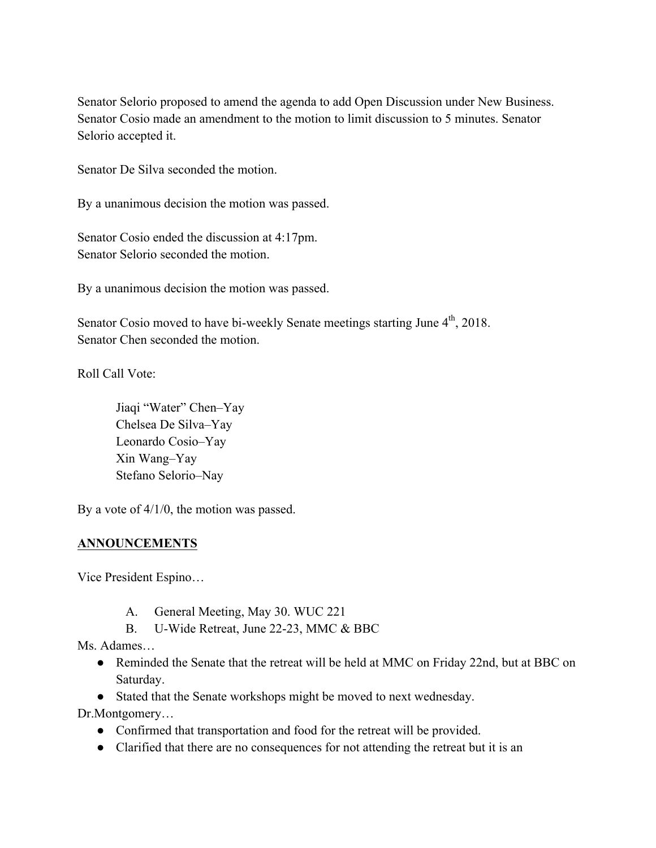Senator Selorio proposed to amend the agenda to add Open Discussion under New Business. Senator Cosio made an amendment to the motion to limit discussion to 5 minutes. Senator Selorio accepted it.

Senator De Silva seconded the motion.

By a unanimous decision the motion was passed.

Senator Cosio ended the discussion at 4:17pm. Senator Selorio seconded the motion.

By a unanimous decision the motion was passed.

Senator Cosio moved to have bi-weekly Senate meetings starting June  $4<sup>th</sup>$ , 2018. Senator Chen seconded the motion.

Roll Call Vote:

Jiaqi "Water" Chen–Yay Chelsea De Silva–Yay Leonardo Cosio–Yay Xin Wang–Yay Stefano Selorio–Nay

By a vote of  $4/1/0$ , the motion was passed.

#### **ANNOUNCEMENTS**

Vice President Espino…

- A. General Meeting, May 30. WUC 221
- B. U-Wide Retreat, June 22-23, MMC & BBC

Ms. Adames…

- Reminded the Senate that the retreat will be held at MMC on Friday 22nd, but at BBC on Saturday.
- Stated that the Senate workshops might be moved to next wednesday.

Dr.Montgomery…

- Confirmed that transportation and food for the retreat will be provided.
- Clarified that there are no consequences for not attending the retreat but it is an